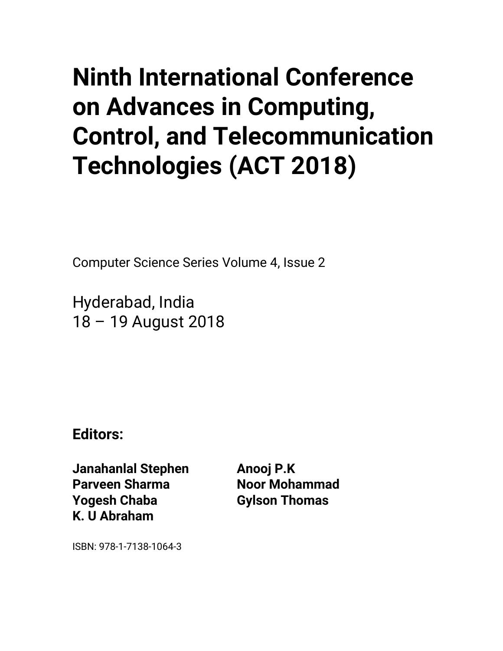## • **Ninth International Conference on Advances in Computing, Control, and Telecommunication Technologies (ACT 2018)**

Computer Science Series Volume 4, Issue 2

Hyderabad, India 18 – 19 August 2018

**Editors:**

**Janahanlal Stephen Parveen Sharma Yogesh Chaba K. U Abraham**

**Anooj P.K Noor Mohammad Gylson Thomas**

ISBN: 978-1-7138-1064-3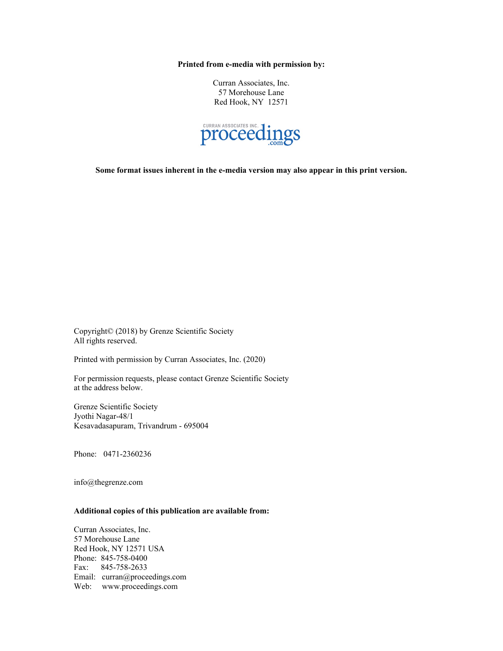**Printed from e-media with permission by:**

Curran Associates, Inc. 57 Morehouse Lane Red Hook, NY 12571



**Some format issues inherent in the e-media version may also appear in this print version.**

Copyright© (2018) by Grenze Scientific Society All rights reserved.

Printed with permission by Curran Associates, Inc. (2020)

For permission requests, please contact Grenze Scientific Society at the address below.

Grenze Scientific Society Jyothi Nagar-48/1 Kesavadasapuram, Trivandrum - 695004

Phone: 0471-2360236

info@thegrenze.com

## **Additional copies of this publication are available from:**

Curran Associates, Inc. 57 Morehouse Lane Red Hook, NY 12571 USA Phone: 845-758-0400 Fax: 845-758-2633 Email: curran@proceedings.com Web: www.proceedings.com